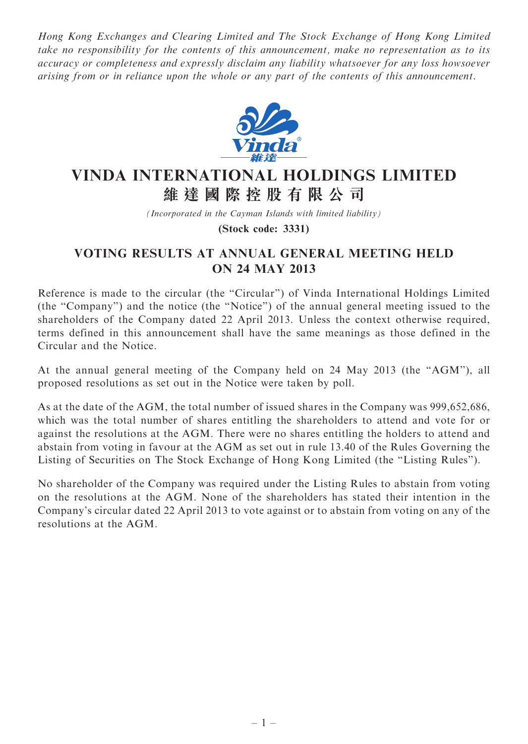Hong Kong Exchanges and Clearing Limited and The Stock Exchange of Hong Kong Limited take no responsibility for the contents of this announcement, make no representation as to its accuracy or completeness and expressly disclaim any liability whatsoever for any loss howsoever arising from or in reliance upon the whole or any part of the contents of this announcement.



## VINDA INTERNATIONAL HOLDINGS LIMITED 維 達 國 際 控 股 有 限 公 司

(Incorporated in the Cayman Islands with limited liability)

(Stock code: 3331)

## VOTING RESULTS AT ANNUAL GENERAL MEETING HELD ON 24 MAY 2013

Reference is made to the circular (the "Circular") of Vinda International Holdings Limited (the ''Company'') and the notice (the ''Notice'') of the annual general meeting issued to the shareholders of the Company dated 22 April 2013. Unless the context otherwise required, terms defined in this announcement shall have the same meanings as those defined in the Circular and the Notice.

At the annual general meeting of the Company held on 24 May 2013 (the ''AGM''), all proposed resolutions as set out in the Notice were taken by poll.

As at the date of the AGM, the total number of issued shares in the Company was 999,652,686, which was the total number of shares entitling the shareholders to attend and vote for or against the resolutions at the AGM. There were no shares entitling the holders to attend and abstain from voting in favour at the AGM as set out in rule 13.40 of the Rules Governing the Listing of Securities on The Stock Exchange of Hong Kong Limited (the ''Listing Rules'').

No shareholder of the Company was required under the Listing Rules to abstain from voting on the resolutions at the AGM. None of the shareholders has stated their intention in the Company's circular dated 22 April 2013 to vote against or to abstain from voting on any of the resolutions at the AGM.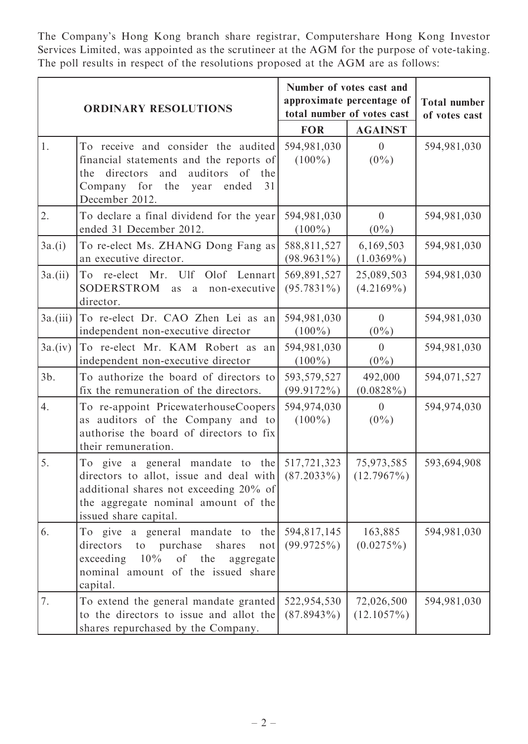The Company's Hong Kong branch share registrar, Computershare Hong Kong Investor Services Limited, was appointed as the scrutineer at the AGM for the purpose of vote-taking. The poll results in respect of the resolutions proposed at the AGM are as follows:

| <b>ORDINARY RESOLUTIONS</b> |                                                                                                                                                                                                     | Number of votes cast and<br>approximate percentage of<br>total number of votes cast |                             | <b>Total number</b><br>of votes cast |
|-----------------------------|-----------------------------------------------------------------------------------------------------------------------------------------------------------------------------------------------------|-------------------------------------------------------------------------------------|-----------------------------|--------------------------------------|
|                             |                                                                                                                                                                                                     | <b>FOR</b>                                                                          | <b>AGAINST</b>              |                                      |
| 1.                          | To receive and consider the audited<br>financial statements and the reports of<br>directors<br>and<br>auditors of<br>the<br>the<br>for<br>Company<br>the<br>ended<br>31<br>year<br>December 2012.   | 594,981,030<br>$(100\%)$                                                            | $\overline{0}$<br>$(0\%)$   | 594,981,030                          |
| 2.                          | To declare a final dividend for the year<br>ended 31 December 2012.                                                                                                                                 | 594,981,030<br>$(100\%)$                                                            | $\theta$<br>$(0\%)$         | 594,981,030                          |
| 3a.(i)                      | To re-elect Ms. ZHANG Dong Fang as<br>an executive director.                                                                                                                                        | 588,811,527<br>$(98.9631\%)$                                                        | 6,169,503<br>$(1.0369\%)$   | 594,981,030                          |
| 3a.(ii)                     | To re-elect Mr. Ulf<br>Olof Lennart<br>SODERSTROM<br>non-executive<br>as<br>$\mathbf{a}$<br>director.                                                                                               | 569,891,527<br>$(95.7831\%)$                                                        | 25,089,503<br>$(4.2169\%)$  | 594,981,030                          |
| $3a$ .(iii)                 | To re-elect Dr. CAO Zhen Lei as an<br>independent non-executive director                                                                                                                            | 594,981,030<br>$(100\%)$                                                            | $\theta$<br>$(0\%)$         | 594,981,030                          |
| 3a.(iv)                     | To re-elect Mr. KAM Robert as an<br>independent non-executive director                                                                                                                              | 594,981,030<br>$(100\%)$                                                            | $\theta$<br>$(0\%)$         | 594,981,030                          |
| $3b$ .                      | To authorize the board of directors to<br>fix the remuneration of the directors.                                                                                                                    | 593,579,527<br>(99.9172%)                                                           | 492,000<br>$(0.0828\%)$     | 594,071,527                          |
| 4.                          | To re-appoint PricewaterhouseCoopers<br>as auditors of the Company and to<br>authorise the board of directors to fix<br>their remuneration.                                                         | 594,974,030<br>$(100\%)$                                                            | $\overline{0}$<br>$(0\%)$   | 594,974,030                          |
| 5.                          | To give a general mandate to the<br>directors to allot, issue and deal with $(87.2033\%)$<br>additional shares not exceeding 20% of<br>the aggregate nominal amount of the<br>issued share capital. | 517,721,323                                                                         | 75,973,585<br>$(12.7967\%)$ | 593,694,908                          |
| 6.                          | To give a general mandate to<br>the<br>to purchase<br>directors<br>shares<br>not<br>10%<br>of the<br>exceeding<br>aggregate<br>nominal amount of the issued share<br>capital.                       | 594,817,145<br>(99.9725%)                                                           | 163,885<br>$(0.0275\%)$     | 594,981,030                          |
| 7.                          | To extend the general mandate granted<br>to the directors to issue and allot the<br>shares repurchased by the Company.                                                                              | 522,954,530<br>$(87.8943\%)$                                                        | 72,026,500<br>$(12.1057\%)$ | 594,981,030                          |